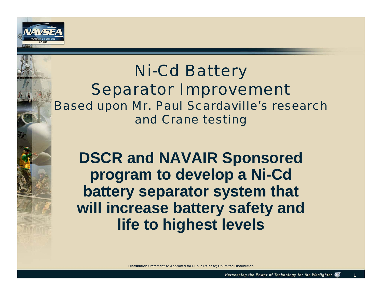

## *Ni-Cd Battery Separator Improvement Based upon Mr. Paul Scardaville's research and Crane testing*

**DSCR and NAVAIR Sponsored program to develop a Ni-Cd battery separator system that will increase battery safety and life to highest levels**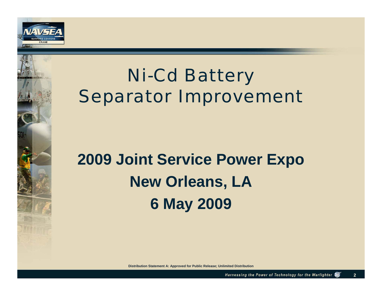

# *Ni-Cd Battery Separator Improvement*

# **2009 Joint Service Power Expo New Orleans, LA 6 May 2009**

**Distribution Statement A: Approved for Public Release; Unlimited Distribution**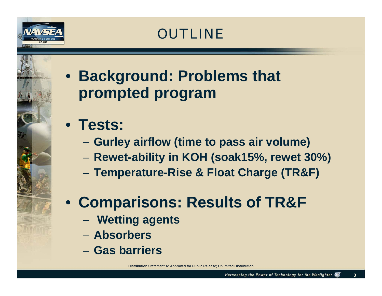

## *OUTLINE*

# • **Background: Problems that prompted program**

# • **Tests:**

- **Gurley airflow (time to pass air volume)**
- **Rewet-ability in KOH (soak15%, rewet 30%)**
- **Temperature-Rise & Float Charge (TR&F)**

# • **Comparisons: Results of TR&F**

- **Wetting agents**
- **Absorbers**
- **Gas barriers**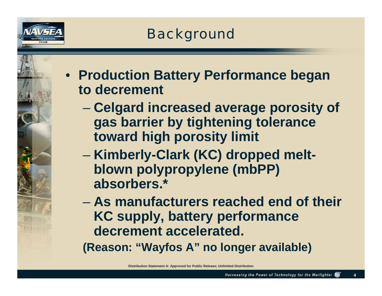

# *Background*

• **Production Battery Performance began to decrement**

- **Celgard increased average porosity of gas barrier by tightening tolerance toward high porosity limit**
- **Kimberly-Clark (KC) dropped meltblown polypropylene (mbPP) absorbers.\***

– **As manufacturers reached end of their KC supply, battery performance decrement accelerated.** 

**(Reason: "Wayfos A" no longer available)**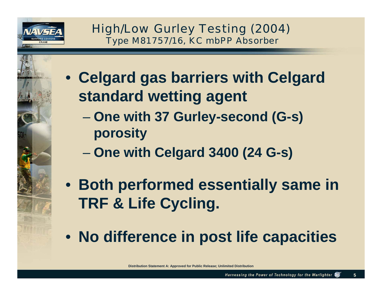

*High/Low Gurley Testing (2004) Type M81757/16, KC mbPP Absorber*

- **Celgard gas barriers with Celgard standard wetting agent**
	- **One with 37 Gurley-second (G-s) porosity**
	- **One with Celgard 3400 (24 G-s)**
- **Both performed essentially same in TRF & Life Cycling.**
- **No difference in post life capacities**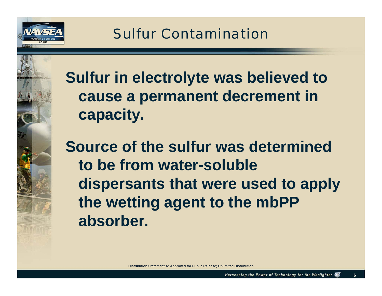

*Sulfur Contamination*

**Sulfur in electrolyte was believed to cause a permanent decrement in capacity.** 

**Source of the sulfur was determined to be from water-soluble dispersants that were used to apply the wetting agent to the mbPP absorber.**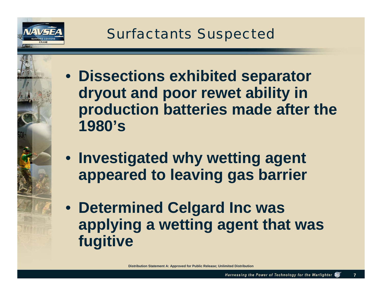

• **Dissections exhibited separator dryout and poor rewet ability in production batteries made after the 1980's**

- **Investigated why wetting agent appeared to leaving gas barrier**
- **Determined Celgard Inc was applying a wetting agent that was fugitive**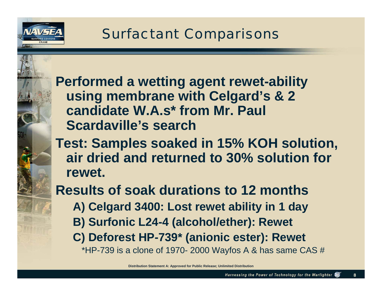

*Surfactant Comparisons*

**Performed a wetting agent rewet-ability using membrane with Celgard's & 2 candidate W.A.s\* from Mr. Paul Scardaville's search** 

**Test: Samples soaked in 15% KOH solution, air dried and returned to 30% solution for rewet.** 

**Results of soak durations to 12 months A) Celgard 3400: Lost rewet ability in 1 day B) Surfonic L24-4 (alcohol/ether): Rewet C) Deforest HP-739\* (anionic ester): Rewet**  \*HP-739 is a clone of 1970- 2000 Wayfos A & has same CAS  $#$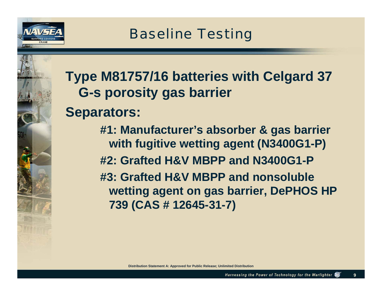

# **Type M81757/16 batteries with Celgard 37 G-s porosity gas barrier**

### **Separators:**

**#1: Manufacturer's absorber & gas barrier with fugitive wetting agent (N3400G1-P) #2: Grafted H&V MBPP and N3400G1-P#3: Grafted H&V MBPP and nonsoluble wetting agent on gas barrier, DePHOS HP 739 (CAS # 12645-31-7)**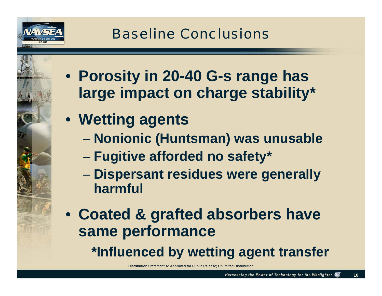

*Baseline Conclusions*

• **Porosity in 20-40 G-s range has large impact on charge stability\***

- **Wetting agents** 
	- **Nonionic (Huntsman) was unusable**
	- **Fugitive afforded no safety\***
	- **Dispersant residues were generally harmful**
- **Coated & grafted absorbers have same performance \*Influenced by wetting agent transfer**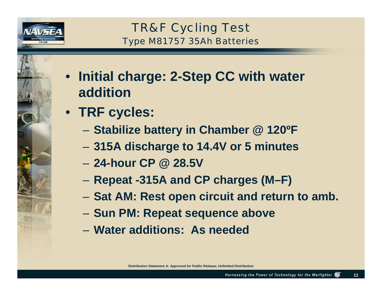

*TR&F Cycling Test Type M81757 35Ah Batteries*

- **Initial charge: 2-Step CC with water addition**
- **TRF cycles:**
	- **Stabilize battery in Chamber @ 120ºF**
	- **315A discharge to 14.4V or 5 minutes**
	- **24-hour CP @ 28.5V**
	- **Repeat -315A and CP charges (M–F)**
	- **Sat AM: Rest open circuit and return to amb.**
	- **Sun PM: Repeat sequence above**
	- **Water additions: As needed**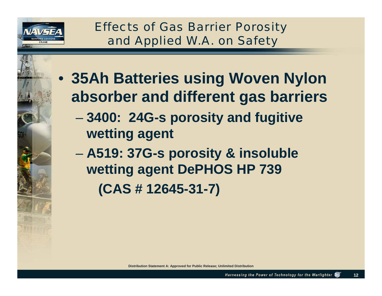

*Effects of Gas Barrier Porosity and Applied W.A. on Safety*

• **35Ah Batteries using Woven Nylon absorber and different gas barriers**

- **3400: 24G-s porosity and fugitive wetting agent**
- **A519: 37G-s porosity & insoluble wetting agent DePHOS HP 739 (CAS # 12645-31-7)**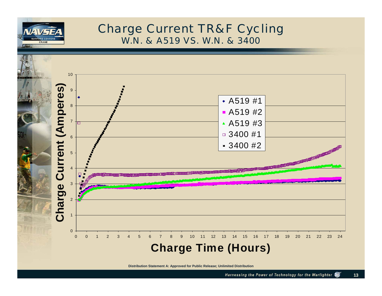

#### *Charge Current TR&F Cycling W.N. & A519 VS. W.N. & 3400*

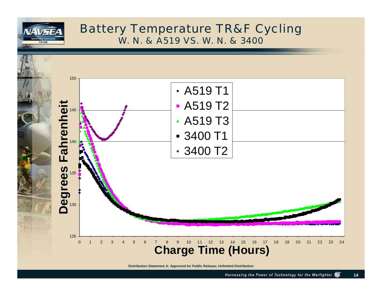

#### *Battery Temperature TR&F Cycling W. N. & A519 VS. W. N. & 3400*

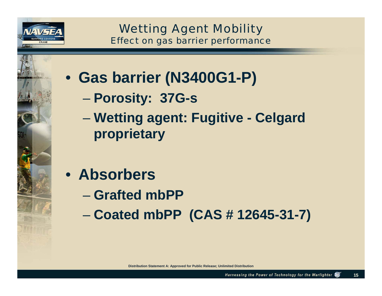

*Wetting Agent Mobility Effect on gas barrier performance*

• **Gas barrier (N3400G1-P)**

- **Porosity: 37G-s**
- **Wetting agent: Fugitive Celgard proprietary**
- **Absorbers**
	- **Grafted mbPP**
	- **Coated mbPP (CAS # 12645-31-7)**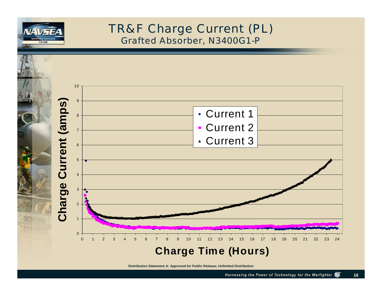

#### *TR&F Charge Current (PL) Grafted Absorber, N3400G1-P*

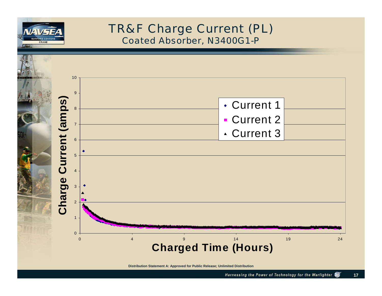

#### *TR&F Charge Current (PL) Coated Absorber, N3400G1-P*

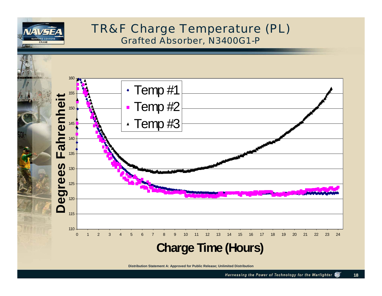

#### *TR&F Charge Temperature (PL) Grafted Absorber, N3400G1-P*

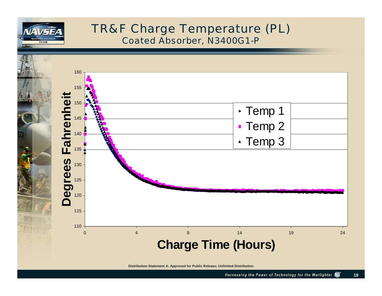

#### *TR&F Charge Temperature (PL) Coated Absorber, N3400G1-P*

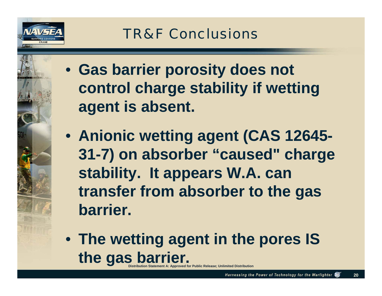

*TR&F Conclusions*

- **Gas barrier porosity does not control charge stability if wetting agent is absent.**
- **Anionic wetting agent (CAS 12645- 31-7) on absorber "caused" charge stability. It appears W.A. can transfer from absorber to the gas barrier.**
- **Distribution Statement A: Approved for Public Release; Unlimited Distribution** • **The wetting agent in the pores IS the gas barrier.**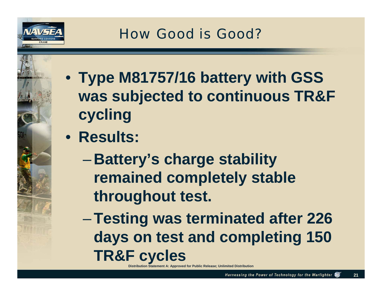

*How Good is Good?*

- **Type M81757/16 battery with GSS was subjected to continuous TR&F cycling**
- **Results:**
	- $\mathcal{L}_{\mathcal{A}}$  , where  $\mathcal{L}_{\mathcal{A}}$  is the set of the set of the set of the set of the set of the set of the set of the set of the set of the set of the set of the set of the set of the set of the set of the set of the **Battery's charge stability remained completely stable throughout test.**

–**Testing was terminated after 226 days on test and completing 150 TR&F cycles**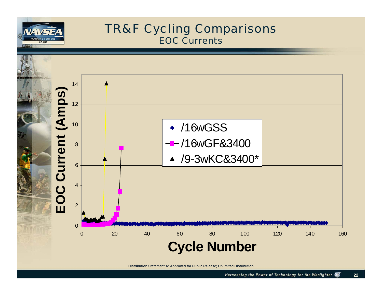

#### *TR&F Cycling Comparisons EOC Currents*

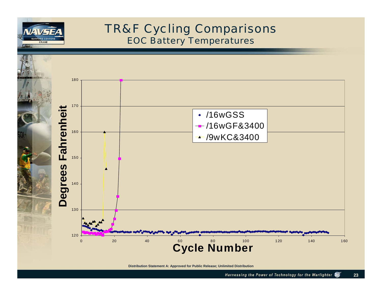

#### *TR&F Cycling Comparisons EOC Battery Temperatures*

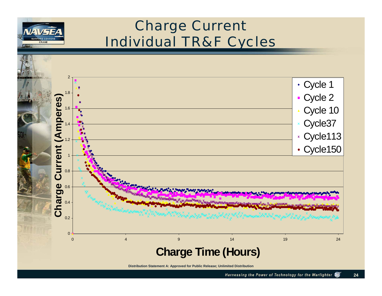

## *Charge Current Individual TR&F Cycles*

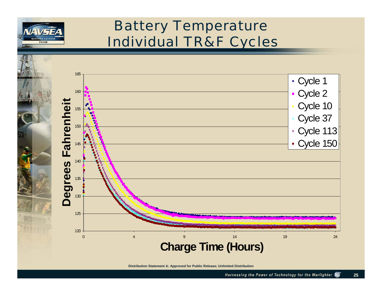

## *Battery Temperature Individual TR&F Cycles*

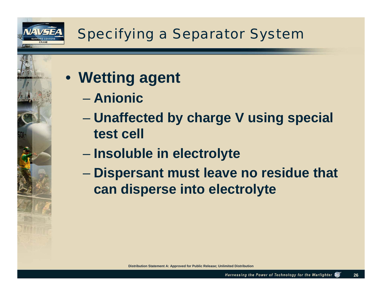

- **Wetting agent**
	- **Anionic**
	- **Unaffected by charge V using special test cell**
	- **Insoluble in electrolyte**
	- **Dispersant must leave no residue that can disperse into electrolyte**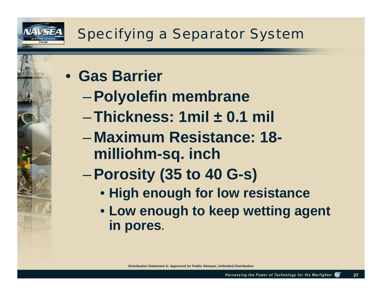

• **Gas Barrier** 

- –**Polyolefin membrane**
- –**Thickness: 1mil ± 0.1 mil**
- $\mathcal{L}_{\mathcal{A}}$  , where  $\mathcal{L}_{\mathcal{A}}$  is the set of the set of the set of the set of the set of the set of the set of the set of the set of the set of the set of the set of the set of the set of the set of the set of the **Maximum Resistance: 18 milliohm-sq. inch**
- –**Porosity (35 to 40 G-s)**
	- **High enough for low resistance**
	- **Low enough to keep wetting agent in pores.**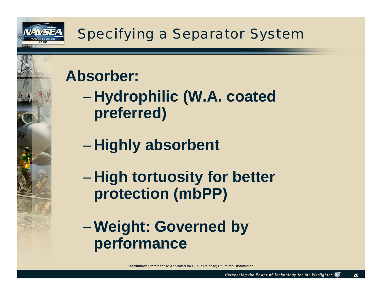

# *Specifying a Separator System*

# **Absorber:**

 $\mathcal{L}_{\mathcal{A}}$  , where  $\mathcal{L}_{\mathcal{A}}$  is the set of the set of the set of the set of the set of the set of the set of the set of the set of the set of the set of the set of the set of the set of the set of the set of the **Hydrophilic (W.A. coated preferred)**

- $\mathcal{L}_{\mathcal{A}}$  , where  $\mathcal{L}_{\mathcal{A}}$  is the set of the set of the set of the set of the set of the set of the set of the set of the set of the set of the set of the set of the set of the set of the set of the set of the **Highly absorbent**
- $\mathcal{L}_{\mathcal{A}}$  , where  $\mathcal{L}_{\mathcal{A}}$  is the set of the set of the set of the set of the set of the set of the set of the set of the set of the set of the set of the set of the set of the set of the set of the set of the **High tortuosity for better protection (mbPP)**

–**Weight: Governed by performance**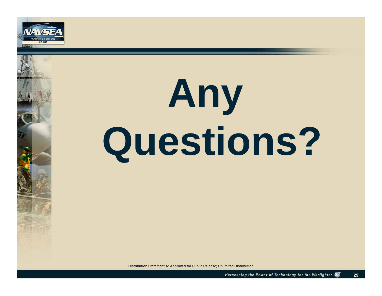

# **Any Questions?**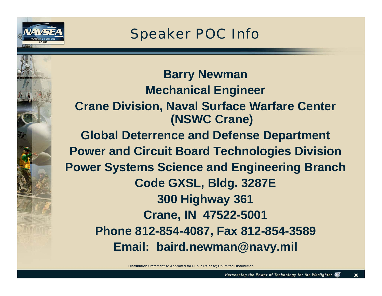

*Speaker POC Info*

**Barry Newman Mechanical Engineer Crane Division, Naval Surface Warfare Center (NSWC Crane) Global Deterrence and Defense Department Power and Circuit Board Technologies Division Power Systems Science and Engineering Branch Code GXSL, Bldg. 3287E 300 Highway 361 Crane, IN 47522-5001 Phone 812-854-4087, Fax 812-854-3589 Email: baird.newman@navy.mil**